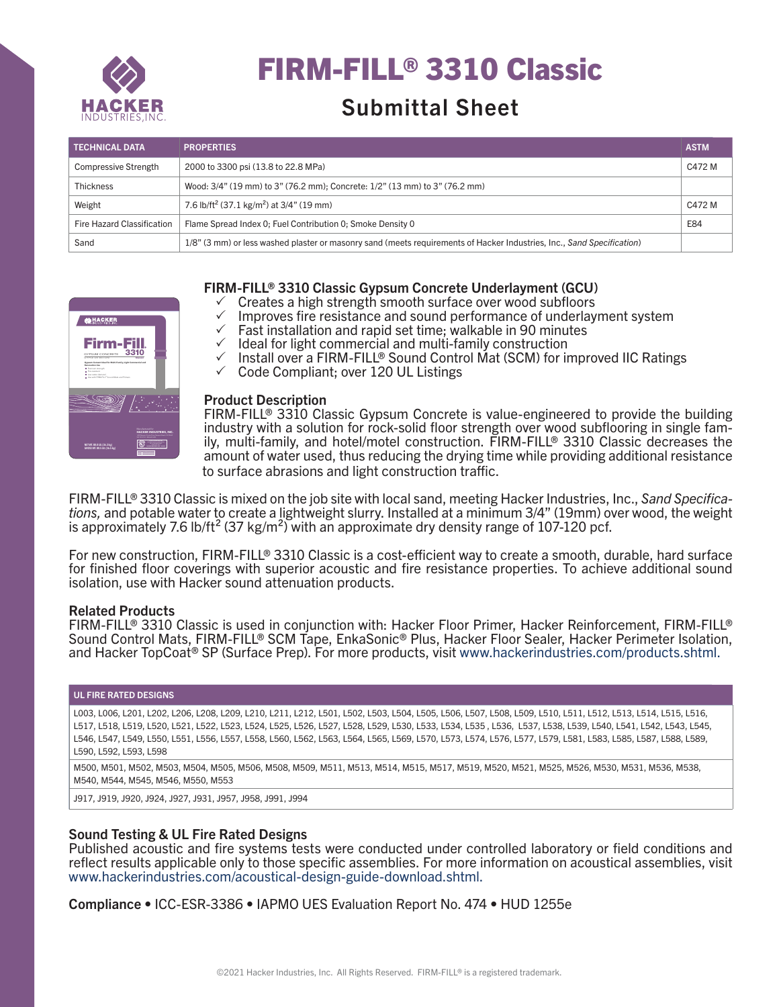

# FIRM-FILL® 3310 Classic

# Submittal Sheet

| <b>TECHNICAL DATA</b>       | <b>PROPERTIES</b>                                                                                                      | <b>ASTM</b> |
|-----------------------------|------------------------------------------------------------------------------------------------------------------------|-------------|
| <b>Compressive Strength</b> | 2000 to 3300 psi (13.8 to 22.8 MPa)                                                                                    | C472 M      |
| <b>Thickness</b>            | Wood: 3/4" (19 mm) to 3" (76.2 mm); Concrete: 1/2" (13 mm) to 3" (76.2 mm)                                             |             |
| Weight                      | 7.6 lb/ft <sup>2</sup> (37.1 kg/m <sup>2</sup> ) at 3/4" (19 mm)                                                       | C472 M      |
| Fire Hazard Classification  | Flame Spread Index 0: Fuel Contribution 0: Smoke Density 0                                                             | E84         |
| Sand                        | 1/8" (3 mm) or less washed plaster or masonry sand (meets requirements of Hacker Industries, Inc., Sand Specification) |             |



# FIRM-FILL® 3310 Classic Gypsum Concrete Underlayment (GCU)

- $\checkmark$  Creates a high strength smooth surface over wood subfloors
- **Hacker+ Floor Underlayments** 3 Improves fire resistance and sound performance of underlayment system
- $\checkmark$  Fast installation and rapid set time; walkable in 90 minutes
- $\checkmark$  Ideal for light commercial and multi-family construction
- **DO NOT INSTALL PRODUCT UNLESS TRAINED & LICENSED BY HACKER INDUSTRIES, INC.** √ Install over a FIRM-FILL® Sound Control Mat (SCM) for improved IIC Ratings
- ← Code Compliant; over 120 UL Listings

#### **Product Description**

FIRM-FILL® 3310 Classic Gypsum Concrete is value-engineered to provide the building industry with a solution for rock-solid floor strength over wood subflooring in single family, multi-family, and hotel/motel construction. FIRM-FILL® 3310 Classic decreases the amount of water used, thus reducing the drying time while providing additional resistance to surface abrasions and light construction traffic.

FIRM-FILL® 3310 Classic is mixed on the job site with local sand, meeting Hacker Industries, Inc., *Sand Specifications,* and potable water to create a lightweight slurry. Installed at a minimum 3/4" (19mm) over wood, the weight is approximately 7.6 lb/ft<sup>2</sup> (37 kg/m<sup>2</sup>) with an approximate dry density range of 107-120 pcf.

For new construction, FIRM-FILL® 3310 Classic is a cost-efficient way to create a smooth, durable, hard surface for finished floor coverings with superior acoustic and fire resistance properties. To achieve additional sound isolation, use with Hacker sound attenuation products.

#### Related Products

FIRM-FILL® 3310 Classic is used in conjunction with: Hacker Floor Primer, Hacker Reinforcement, FIRM-FILL® Sound Control Mats, FIRM-FILL® SCM Tape, EnkaSonic® Plus, Hacker Floor Sealer, Hacker Perimeter Isolation, and Hacker TopCoat® SP (Surface Prep). For more products, visit www.hackerindustries.com/products.shtml.

#### UL FIRE RATED DESIGNS

L003, L006, L201, L202, L206, L208, L209, L210, L211, L212, L501, L502, L503, L504, L505, L506, L507, L508, L509, L510, L511, L512, L513, L514, L515, L516, L517, L518, L519, L520, L521, L522, L523, L524, L525, L526, L527, L528, L529, L530, L533, L534, L535 , L536, L537, L538, L539, L540, L541, L542, L543, L545, L546, L547, L549, L550, L551, L556, L557, L558, L560, L562, L563, L564, L565, L569, L570, L573, L574, L576, L577, L579, L581, L583, L585, L587, L588, L589, L590, L592, L593, L598

M500, M501, M502, M503, M504, M505, M506, M508, M509, M511, M513, M514, M515, M517, M519, M520, M521, M525, M526, M530, M531, M536, M538, M540, M544, M545, M546, M550, M553

J917, J919, J920, J924, J927, J931, J957, J958, J991, J994

# Sound Testing & UL Fire Rated Designs

Published acoustic and fire systems tests were conducted under controlled laboratory or field conditions and reflect results applicable only to those specific assemblies. For more information on acoustical assemblies, visit www.hackerindustries.com/acoustical-design-guide-download.shtml.

Compliance • ICC-ESR-3386 • IAPMO UES Evaluation Report No. 474 • HUD 1255e